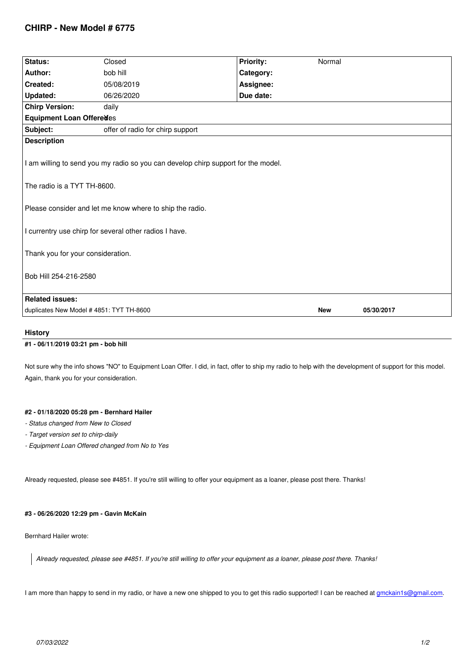| Status:                                                                                                          | Closed                           | <b>Priority:</b> | Normal     |            |
|------------------------------------------------------------------------------------------------------------------|----------------------------------|------------------|------------|------------|
| Author:                                                                                                          | bob hill                         | Category:        |            |            |
| Created:                                                                                                         | 05/08/2019                       | Assignee:        |            |            |
| <b>Updated:</b>                                                                                                  | 06/26/2020                       | Due date:        |            |            |
| <b>Chirp Version:</b>                                                                                            | daily                            |                  |            |            |
| <b>Equipment Loan Offeredes</b>                                                                                  |                                  |                  |            |            |
| Subject:                                                                                                         | offer of radio for chirp support |                  |            |            |
| <b>Description</b>                                                                                               |                                  |                  |            |            |
| I am willing to send you my radio so you can develop chirp support for the model.<br>The radio is a TYT TH-8600. |                                  |                  |            |            |
| Please consider and let me know where to ship the radio.                                                         |                                  |                  |            |            |
| I currentry use chirp for several other radios I have.                                                           |                                  |                  |            |            |
| Thank you for your consideration.<br>Bob Hill 254-216-2580                                                       |                                  |                  |            |            |
|                                                                                                                  |                                  |                  |            |            |
| <b>Related issues:</b>                                                                                           |                                  |                  |            |            |
| duplicates New Model #4851: TYT TH-8600                                                                          |                                  |                  | <b>New</b> | 05/30/2017 |
|                                                                                                                  |                                  |                  |            |            |

#### **History**

# **#1 - 06/11/2019 03:21 pm - bob hill**

*Not sure why the info shows "NO" to Equipment Loan Offer. I did, in fact, offer to ship my radio to help with the development of support for this model. Again, thank you for your consideration.*

#### **#2 - 01/18/2020 05:28 pm - Bernhard Hailer**

- *Status changed from New to Closed*
- *Target version set to chirp-daily*
- *Equipment Loan Offered changed from No to Yes*

*Already requested, please see #4851. If you're still willing to offer your equipment as a loaner, please post there. Thanks!*

### **#3 - 06/26/2020 12:29 pm - Gavin McKain**

*Bernhard Hailer wrote:*

*Already requested, please see #4851. If you're still willing to offer your equipment as a loaner, please post there. Thanks!*

*I am more than happy to send in my radio, or have a new one shipped to you to get this radio supported! I can be reached at gmckain1s@gmail.com.*